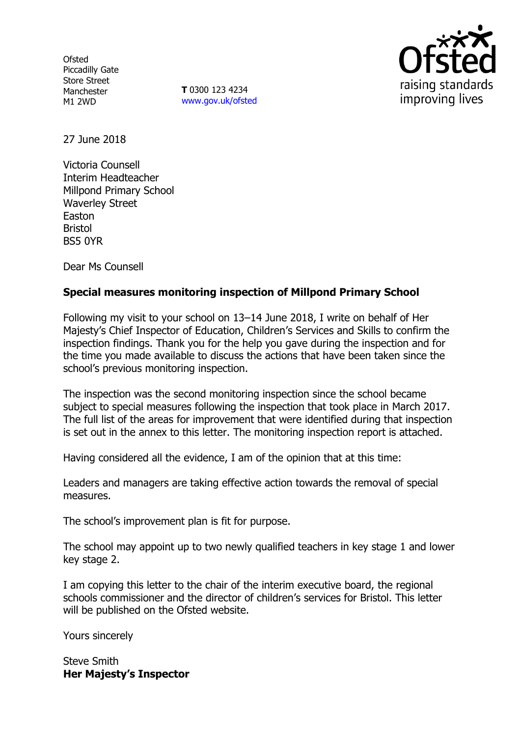**Ofsted** Piccadilly Gate Store Street Manchester M1 2WD

**T** 0300 123 4234 www.gov.uk/ofsted



27 June 2018

Victoria Counsell Interim Headteacher Millpond Primary School Waverley Street Easton Bristol BS5 0YR

Dear Ms Counsell

## **Special measures monitoring inspection of Millpond Primary School**

Following my visit to your school on 13–14 June 2018, I write on behalf of Her Majesty's Chief Inspector of Education, Children's Services and Skills to confirm the inspection findings. Thank you for the help you gave during the inspection and for the time you made available to discuss the actions that have been taken since the school's previous monitoring inspection.

The inspection was the second monitoring inspection since the school became subject to special measures following the inspection that took place in March 2017. The full list of the areas for improvement that were identified during that inspection is set out in the annex to this letter. The monitoring inspection report is attached.

Having considered all the evidence, I am of the opinion that at this time:

Leaders and managers are taking effective action towards the removal of special measures.

The school's improvement plan is fit for purpose.

The school may appoint up to two newly qualified teachers in key stage 1 and lower key stage 2.

I am copying this letter to the chair of the interim executive board, the regional schools commissioner and the director of children's services for Bristol. This letter will be published on the Ofsted website.

Yours sincerely

Steve Smith **Her Majesty's Inspector**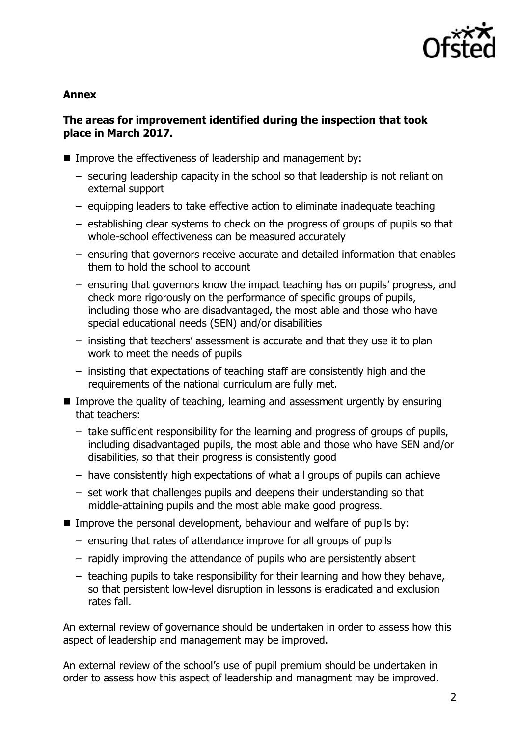

### **Annex**

## **The areas for improvement identified during the inspection that took place in March 2017.**

- **IMPROVE THE EFFECT IVE ASSET SET ASSET IN THE EFFECT** Integration and management by:
	- securing leadership capacity in the school so that leadership is not reliant on external support
	- equipping leaders to take effective action to eliminate inadequate teaching
	- establishing clear systems to check on the progress of groups of pupils so that whole-school effectiveness can be measured accurately
	- ensuring that governors receive accurate and detailed information that enables them to hold the school to account
	- ensuring that governors know the impact teaching has on pupils' progress, and check more rigorously on the performance of specific groups of pupils, including those who are disadvantaged, the most able and those who have special educational needs (SEN) and/or disabilities
	- insisting that teachers' assessment is accurate and that they use it to plan work to meet the needs of pupils
	- insisting that expectations of teaching staff are consistently high and the requirements of the national curriculum are fully met.
- **IMPROVE THE QUALITY OF TEACHTIGE, LEARNING AND ASSESSMENT URGENTY BY ENSURIES** that teachers:
	- take sufficient responsibility for the learning and progress of groups of pupils, including disadvantaged pupils, the most able and those who have SEN and/or disabilities, so that their progress is consistently good
	- have consistently high expectations of what all groups of pupils can achieve
	- set work that challenges pupils and deepens their understanding so that middle-attaining pupils and the most able make good progress.
- Improve the personal development, behaviour and welfare of pupils by:
	- ensuring that rates of attendance improve for all groups of pupils
	- rapidly improving the attendance of pupils who are persistently absent
	- teaching pupils to take responsibility for their learning and how they behave, so that persistent low-level disruption in lessons is eradicated and exclusion rates fall.

An external review of governance should be undertaken in order to assess how this aspect of leadership and management may be improved.

An external review of the school's use of pupil premium should be undertaken in order to assess how this aspect of leadership and managment may be improved.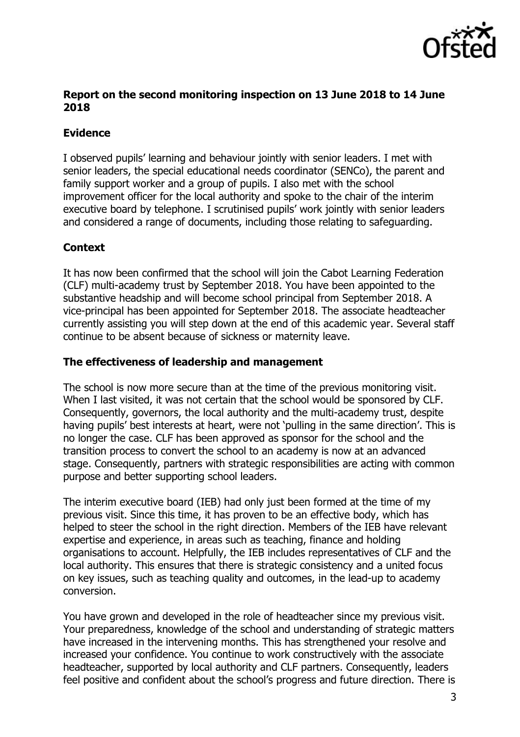

## **Report on the second monitoring inspection on 13 June 2018 to 14 June 2018**

# **Evidence**

I observed pupils' learning and behaviour jointly with senior leaders. I met with senior leaders, the special educational needs coordinator (SENCo), the parent and family support worker and a group of pupils. I also met with the school improvement officer for the local authority and spoke to the chair of the interim executive board by telephone. I scrutinised pupils' work jointly with senior leaders and considered a range of documents, including those relating to safeguarding.

## **Context**

It has now been confirmed that the school will join the Cabot Learning Federation (CLF) multi-academy trust by September 2018. You have been appointed to the substantive headship and will become school principal from September 2018. A vice-principal has been appointed for September 2018. The associate headteacher currently assisting you will step down at the end of this academic year. Several staff continue to be absent because of sickness or maternity leave.

## **The effectiveness of leadership and management**

The school is now more secure than at the time of the previous monitoring visit. When I last visited, it was not certain that the school would be sponsored by CLF. Consequently, governors, the local authority and the multi-academy trust, despite having pupils' best interests at heart, were not 'pulling in the same direction'. This is no longer the case. CLF has been approved as sponsor for the school and the transition process to convert the school to an academy is now at an advanced stage. Consequently, partners with strategic responsibilities are acting with common purpose and better supporting school leaders.

The interim executive board (IEB) had only just been formed at the time of my previous visit. Since this time, it has proven to be an effective body, which has helped to steer the school in the right direction. Members of the IEB have relevant expertise and experience, in areas such as teaching, finance and holding organisations to account. Helpfully, the IEB includes representatives of CLF and the local authority. This ensures that there is strategic consistency and a united focus on key issues, such as teaching quality and outcomes, in the lead-up to academy conversion.

You have grown and developed in the role of headteacher since my previous visit. Your preparedness, knowledge of the school and understanding of strategic matters have increased in the intervening months. This has strengthened your resolve and increased your confidence. You continue to work constructively with the associate headteacher, supported by local authority and CLF partners. Consequently, leaders feel positive and confident about the school's progress and future direction. There is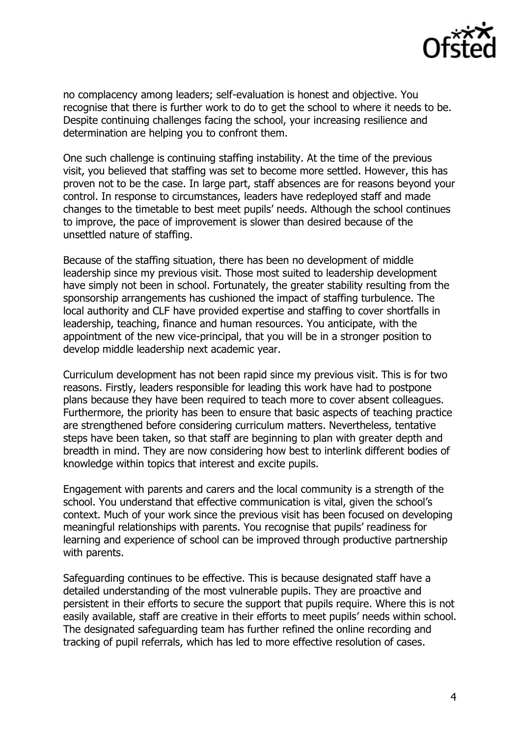

no complacency among leaders; self-evaluation is honest and objective. You recognise that there is further work to do to get the school to where it needs to be. Despite continuing challenges facing the school, your increasing resilience and determination are helping you to confront them.

One such challenge is continuing staffing instability. At the time of the previous visit, you believed that staffing was set to become more settled. However, this has proven not to be the case. In large part, staff absences are for reasons beyond your control. In response to circumstances, leaders have redeployed staff and made changes to the timetable to best meet pupils' needs. Although the school continues to improve, the pace of improvement is slower than desired because of the unsettled nature of staffing.

Because of the staffing situation, there has been no development of middle leadership since my previous visit. Those most suited to leadership development have simply not been in school. Fortunately, the greater stability resulting from the sponsorship arrangements has cushioned the impact of staffing turbulence. The local authority and CLF have provided expertise and staffing to cover shortfalls in leadership, teaching, finance and human resources. You anticipate, with the appointment of the new vice-principal, that you will be in a stronger position to develop middle leadership next academic year.

Curriculum development has not been rapid since my previous visit. This is for two reasons. Firstly, leaders responsible for leading this work have had to postpone plans because they have been required to teach more to cover absent colleagues. Furthermore, the priority has been to ensure that basic aspects of teaching practice are strengthened before considering curriculum matters. Nevertheless, tentative steps have been taken, so that staff are beginning to plan with greater depth and breadth in mind. They are now considering how best to interlink different bodies of knowledge within topics that interest and excite pupils.

Engagement with parents and carers and the local community is a strength of the school. You understand that effective communication is vital, given the school's context. Much of your work since the previous visit has been focused on developing meaningful relationships with parents. You recognise that pupils' readiness for learning and experience of school can be improved through productive partnership with parents.

Safeguarding continues to be effective. This is because designated staff have a detailed understanding of the most vulnerable pupils. They are proactive and persistent in their efforts to secure the support that pupils require. Where this is not easily available, staff are creative in their efforts to meet pupils' needs within school. The designated safeguarding team has further refined the online recording and tracking of pupil referrals, which has led to more effective resolution of cases.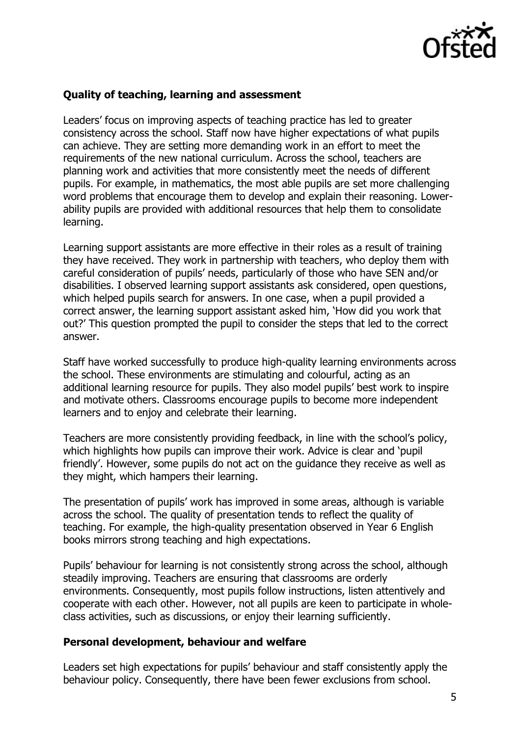

### **Quality of teaching, learning and assessment**

Leaders' focus on improving aspects of teaching practice has led to greater consistency across the school. Staff now have higher expectations of what pupils can achieve. They are setting more demanding work in an effort to meet the requirements of the new national curriculum. Across the school, teachers are planning work and activities that more consistently meet the needs of different pupils. For example, in mathematics, the most able pupils are set more challenging word problems that encourage them to develop and explain their reasoning. Lowerability pupils are provided with additional resources that help them to consolidate learning.

Learning support assistants are more effective in their roles as a result of training they have received. They work in partnership with teachers, who deploy them with careful consideration of pupils' needs, particularly of those who have SEN and/or disabilities. I observed learning support assistants ask considered, open questions, which helped pupils search for answers. In one case, when a pupil provided a correct answer, the learning support assistant asked him, 'How did you work that out?' This question prompted the pupil to consider the steps that led to the correct answer.

Staff have worked successfully to produce high-quality learning environments across the school. These environments are stimulating and colourful, acting as an additional learning resource for pupils. They also model pupils' best work to inspire and motivate others. Classrooms encourage pupils to become more independent learners and to enjoy and celebrate their learning.

Teachers are more consistently providing feedback, in line with the school's policy, which highlights how pupils can improve their work. Advice is clear and 'pupil friendly'. However, some pupils do not act on the guidance they receive as well as they might, which hampers their learning.

The presentation of pupils' work has improved in some areas, although is variable across the school. The quality of presentation tends to reflect the quality of teaching. For example, the high-quality presentation observed in Year 6 English books mirrors strong teaching and high expectations.

Pupils' behaviour for learning is not consistently strong across the school, although steadily improving. Teachers are ensuring that classrooms are orderly environments. Consequently, most pupils follow instructions, listen attentively and cooperate with each other. However, not all pupils are keen to participate in wholeclass activities, such as discussions, or enjoy their learning sufficiently.

#### **Personal development, behaviour and welfare**

Leaders set high expectations for pupils' behaviour and staff consistently apply the behaviour policy. Consequently, there have been fewer exclusions from school.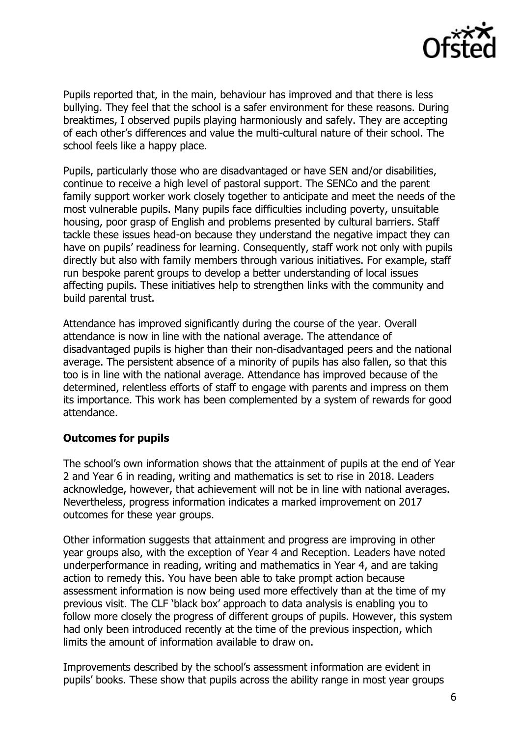

Pupils reported that, in the main, behaviour has improved and that there is less bullying. They feel that the school is a safer environment for these reasons. During breaktimes, I observed pupils playing harmoniously and safely. They are accepting of each other's differences and value the multi-cultural nature of their school. The school feels like a happy place.

Pupils, particularly those who are disadvantaged or have SEN and/or disabilities, continue to receive a high level of pastoral support. The SENCo and the parent family support worker work closely together to anticipate and meet the needs of the most vulnerable pupils. Many pupils face difficulties including poverty, unsuitable housing, poor grasp of English and problems presented by cultural barriers. Staff tackle these issues head-on because they understand the negative impact they can have on pupils' readiness for learning. Consequently, staff work not only with pupils directly but also with family members through various initiatives. For example, staff run bespoke parent groups to develop a better understanding of local issues affecting pupils. These initiatives help to strengthen links with the community and build parental trust.

Attendance has improved significantly during the course of the year. Overall attendance is now in line with the national average. The attendance of disadvantaged pupils is higher than their non-disadvantaged peers and the national average. The persistent absence of a minority of pupils has also fallen, so that this too is in line with the national average. Attendance has improved because of the determined, relentless efforts of staff to engage with parents and impress on them its importance. This work has been complemented by a system of rewards for good attendance.

## **Outcomes for pupils**

The school's own information shows that the attainment of pupils at the end of Year 2 and Year 6 in reading, writing and mathematics is set to rise in 2018. Leaders acknowledge, however, that achievement will not be in line with national averages. Nevertheless, progress information indicates a marked improvement on 2017 outcomes for these year groups.

Other information suggests that attainment and progress are improving in other year groups also, with the exception of Year 4 and Reception. Leaders have noted underperformance in reading, writing and mathematics in Year 4, and are taking action to remedy this. You have been able to take prompt action because assessment information is now being used more effectively than at the time of my previous visit. The CLF 'black box' approach to data analysis is enabling you to follow more closely the progress of different groups of pupils. However, this system had only been introduced recently at the time of the previous inspection, which limits the amount of information available to draw on.

Improvements described by the school's assessment information are evident in pupils' books. These show that pupils across the ability range in most year groups